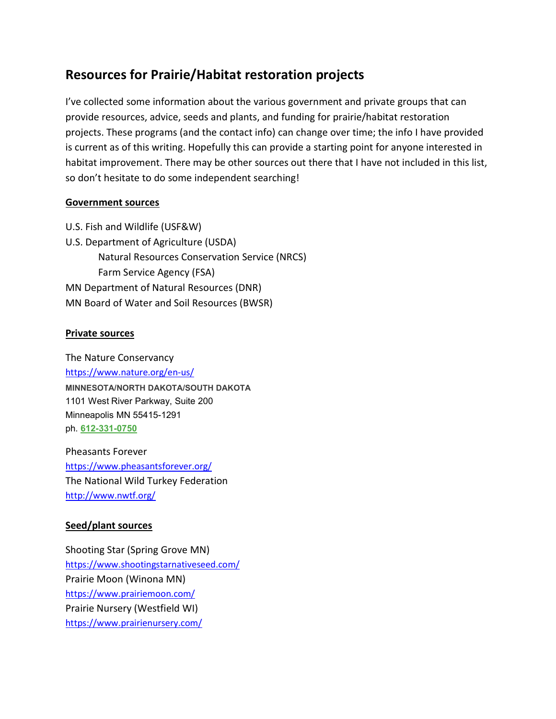# Resources for Prairie/Habitat restoration projects

I've collected some information about the various government and private groups that can provide resources, advice, seeds and plants, and funding for prairie/habitat restoration projects. These programs (and the contact info) can change over time; the info I have provided is current as of this writing. Hopefully this can provide a starting point for anyone interested in habitat improvement. There may be other sources out there that I have not included in this list, so don't hesitate to do some independent searching!

### Government sources

U.S. Fish and Wildlife (USF&W) U.S. Department of Agriculture (USDA) Natural Resources Conservation Service (NRCS) Farm Service Agency (FSA) MN Department of Natural Resources (DNR) MN Board of Water and Soil Resources (BWSR)

### Private sources

The Nature Conservancy https://www.nature.org/en-us/ MINNESOTA/NORTH DAKOTA/SOUTH DAKOTA 1101 West River Parkway, Suite 200 Minneapolis MN 55415-1291 ph. 612-331-0750

Pheasants Forever https://www.pheasantsforever.org/ The National Wild Turkey Federation http://www.nwtf.org/

## Seed/plant sources

Shooting Star (Spring Grove MN) https://www.shootingstarnativeseed.com/ Prairie Moon (Winona MN) https://www.prairiemoon.com/ Prairie Nursery (Westfield WI) https://www.prairienursery.com/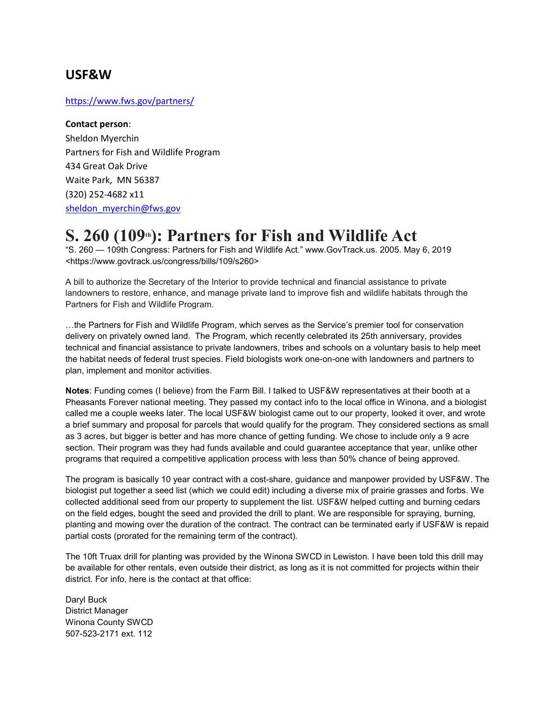# USF&W

#### https://www.fws.gov/partners/

#### Contact person:

Sheldon Myerchin Partners for Fish and Wildlife Program 434 Great Oak Drive Waite Park, MN 56387 (320) 252-4682 x11 sheldon\_myerchin@fws.gov

# $S. 260$  (109<sup>th</sup>): Partners for Fish and Wildlife Act

"S. 260 — 109th Congress: Partners for Fish and Wildlife Act." www.GovTrack.us. 2005. May 6, 2019 <https://www.govtrack.us/congress/bills/109/s260>

A bill to authorize the Secretary of the Interior to provide technical and financial assistance to private landowners to restore, enhance, and manage private land to improve fish and wildlife habitats through the Partners for Fish and Wildlife Program.

…the Partners for Fish and Wildlife Program, which serves as the Service's premier tool for conservation delivery on privately owned land. The Program, which recently celebrated its 25th anniversary, provides technical and financial assistance to private landowners, tribes and schools on a voluntary basis to help meet the habitat needs of federal trust species. Field biologists work one-on-one with landowners and partners to plan, implement and monitor activities.

Notes: Funding comes (I believe) from the Farm Bill. I talked to USF&W representatives at their booth at a Pheasants Forever national meeting. They passed my contact info to the local office in Winona, and a biologist called me a couple weeks later. The local USF&W biologist came out to our property, looked it over, and wrote a brief summary and proposal for parcels that would qualify for the program. They considered sections as small as 3 acres, but bigger is better and has more chance of getting funding. We chose to include only a 9 acre section. Their program was they had funds available and could guarantee acceptance that year, unlike other programs that required a competitive application process with less than 50% chance of being approved.

The program is basically 10 year contract with a cost-share, guidance and manpower provided by USF&W. The biologist put together a seed list (which we could edit) including a diverse mix of prairie grasses and forbs. We collected additional seed from our property to supplement the list. USF&W helped cutting and burning cedars on the field edges, bought the seed and provided the drill to plant. We are responsible for spraying, burning, planting and mowing over the duration of the contract. The contract can be terminated early if USF&W is repaid partial costs (prorated for the remaining term of the contract).

The 10ft Truax drill for planting was provided by the Winona SWCD in Lewiston. I have been told this drill may be available for other rentals, even outside their district, as long as it is not committed for projects within their district. For info, here is the contact at that office:

Daryl Buck District Manager Winona County SWCD 507-523-2171 ext. 112